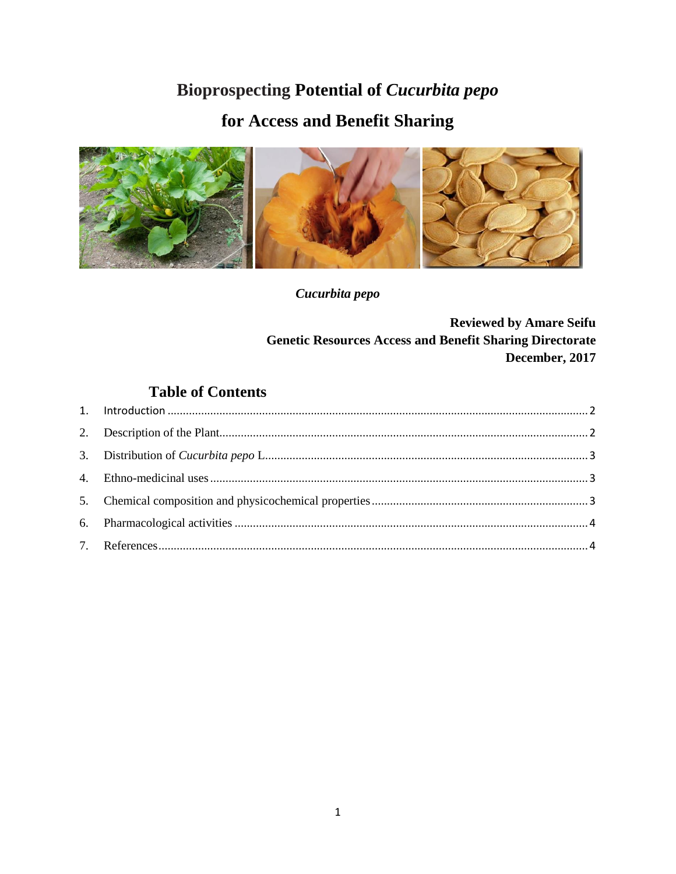## **Bioprospecting Potential of Cucurbita pepo**

# for Access and Benefit Sharing



Cucurbita pepo

**Reviewed by Amare Seifu Genetic Resources Access and Benefit Sharing Directorate** December, 2017

### **Table of Contents**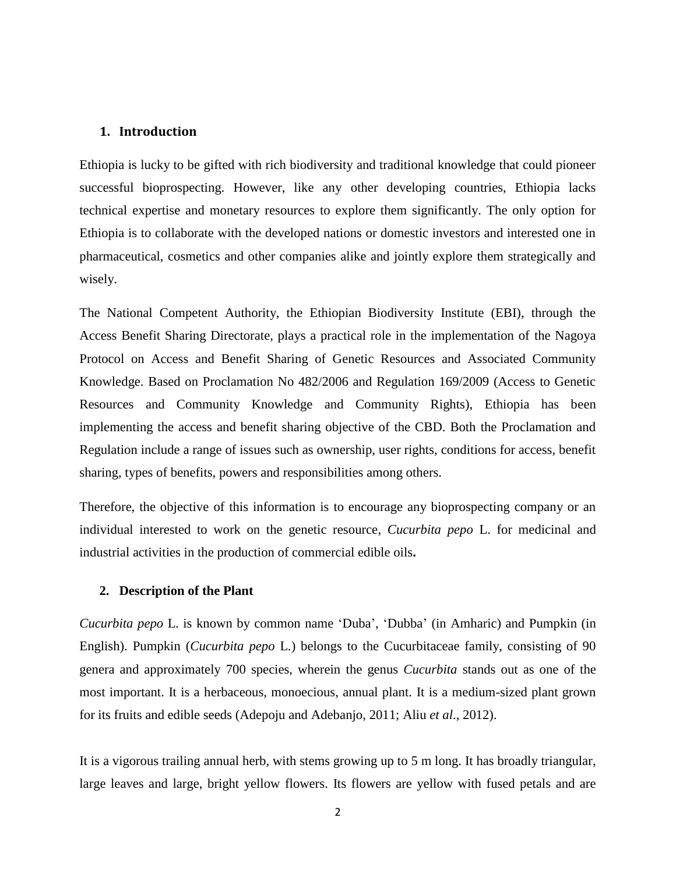### <span id="page-1-0"></span>**1. Introduction**

Ethiopia is lucky to be gifted with rich biodiversity and traditional knowledge that could pioneer successful bioprospecting. However, like any other developing countries, Ethiopia lacks technical expertise and monetary resources to explore them significantly. The only option for Ethiopia is to collaborate with the developed nations or domestic investors and interested one in pharmaceutical, cosmetics and other companies alike and jointly explore them strategically and wisely.

The National Competent Authority, the Ethiopian Biodiversity Institute (EBI), through the Access Benefit Sharing Directorate, plays a practical role in the implementation of the Nagoya Protocol on Access and Benefit Sharing of Genetic Resources and Associated Community Knowledge. Based on Proclamation No 482/2006 and Regulation 169/2009 (Access to Genetic Resources and Community Knowledge and Community Rights), Ethiopia has been implementing the access and benefit sharing objective of the CBD. Both the Proclamation and Regulation include a range of issues such as ownership, user rights, conditions for access, benefit sharing, types of benefits, powers and responsibilities among others.

Therefore, the objective of this information is to encourage any bioprospecting company or an individual interested to work on the genetic resource, *Cucurbita pepo* L. for medicinal and industrial activities in the production of commercial edible oils**.**

#### <span id="page-1-1"></span>**2. Description of the Plant**

*Cucurbita pepo* L. is known by common name 'Duba', 'Dubba' (in Amharic) and Pumpkin (in English). Pumpkin (*Cucurbita pepo* L.) belongs to the Cucurbitaceae family, consisting of 90 genera and approximately 700 species, wherein the genus *Cucurbita* stands out as one of the most important. It is a herbaceous, monoecious, annual plant. It is a medium-sized plant grown for its fruits and edible seeds (Adepoju and Adebanjo, 2011; Aliu *et al*., 2012).

It is a vigorous trailing annual herb, with stems growing up to 5 m long. It has broadly triangular, large leaves and large, bright yellow flowers. Its flowers are yellow with fused petals and are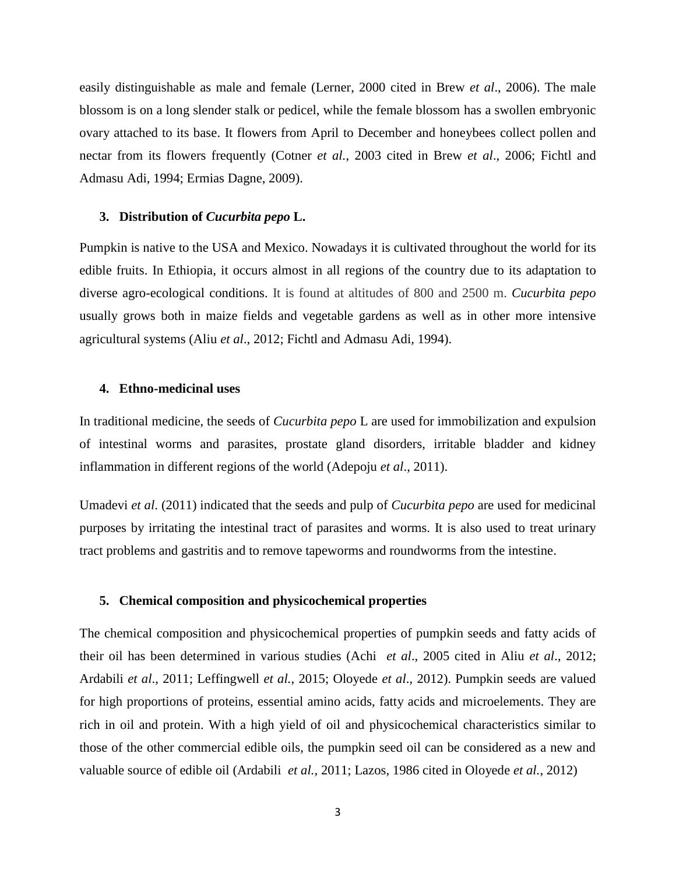easily distinguishable as male and female (Lerner, 2000 cited in Brew *et al*., 2006). The male blossom is on a long slender stalk or pedicel, while the female blossom has a swollen embryonic ovary attached to its base. It flowers from April to December and honeybees collect pollen and nectar from its flowers frequently (Cotner *et al.*, 2003 cited in Brew *et al*., 2006; Fichtl and Admasu Adi, 1994; Ermias Dagne, 2009).

#### <span id="page-2-0"></span>**3. Distribution of** *Cucurbita pepo* **L.**

Pumpkin is native to the USA and Mexico. Nowadays it is cultivated throughout the world for its edible fruits. In Ethiopia, it occurs almost in all regions of the country due to its adaptation to diverse agro-ecological conditions. It is found at altitudes of 800 and 2500 m. *Cucurbita pepo* usually grows both in maize fields and vegetable gardens as well as in other more intensive agricultural systems (Aliu *et al*., 2012; Fichtl and Admasu Adi, 1994).

### <span id="page-2-1"></span>**4. Ethno-medicinal uses**

In traditional medicine, the seeds of *Cucurbita pepo* L are used for immobilization and expulsion of intestinal worms and parasites, prostate gland disorders, irritable bladder and kidney inflammation in different regions of the world (Adepoju *et al*., 2011).

Umadevi *et al*. (2011) indicated that the seeds and pulp of *Cucurbita pepo* are used for medicinal purposes by irritating the intestinal tract of parasites and worms. It is also used to treat urinary tract problems and gastritis and to remove tapeworms and roundworms from the intestine.

#### <span id="page-2-2"></span>**5. Chemical composition and physicochemical properties**

The chemical composition and physicochemical properties of pumpkin seeds and fatty acids of their oil has been determined in various studies (Achi *et al*., 2005 cited in Aliu *et al*., 2012; Ardabili *et al*., 2011; Leffingwell *et al.*, 2015; Oloyede *et al*., 2012). Pumpkin seeds are valued for high proportions of proteins, essential amino acids, fatty acids and microelements. They are rich in oil and protein. With a high yield of oil and physicochemical characteristics similar to those of the other commercial edible oils, the pumpkin seed oil can be considered as a new and valuable source of edible oil (Ardabili *et al.*, 2011; Lazos, 1986 cited in Oloyede *et al.*, 2012)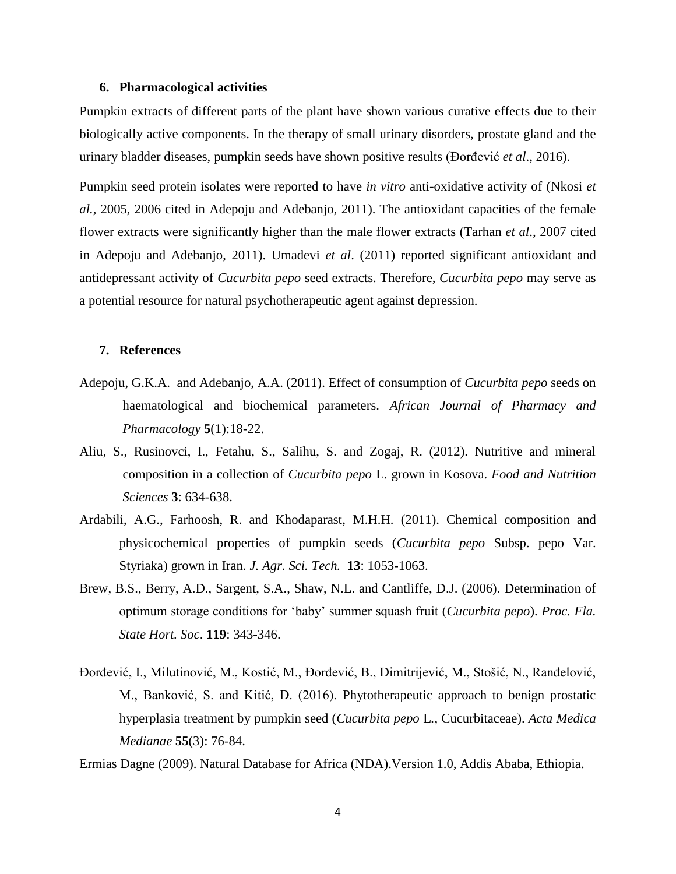#### <span id="page-3-0"></span>**6. Pharmacological activities**

Pumpkin extracts of different parts of the plant have shown various curative effects due to their biologically active components. In the therapy of small urinary disorders, prostate gland and the urinary bladder diseases, pumpkin seeds have shown positive results (Đorđević *et al*., 2016).

Pumpkin seed protein isolates were reported to have *in vitro* anti-oxidative activity of (Nkosi *et al.*, 2005, 2006 cited in Adepoju and Adebanjo, 2011). The antioxidant capacities of the female flower extracts were significantly higher than the male flower extracts (Tarhan *et al*., 2007 cited in Adepoju and Adebanjo, 2011). Umadevi *et al*. (2011) reported significant antioxidant and antidepressant activity of *Cucurbita pepo* seed extracts. Therefore, *Cucurbita pepo* may serve as a potential resource for natural psychotherapeutic agent against depression.

### <span id="page-3-1"></span>**7. References**

- Adepoju, G.K.A. and Adebanjo, A.A. (2011). Effect of consumption of *Cucurbita pepo* seeds on haematological and biochemical parameters. *African Journal of Pharmacy and Pharmacology* **5**(1):18-22.
- Aliu, S., Rusinovci, I., Fetahu, S., Salihu, S. and Zogaj, R. (2012). Nutritive and mineral composition in a collection of *Cucurbita pepo* L. grown in Kosova. *Food and Nutrition Sciences* **3**: 634-638.
- Ardabili, A.G., Farhoosh, R. and Khodaparast, M.H.H. (2011). Chemical composition and physicochemical properties of pumpkin seeds (*Cucurbita pepo* Subsp. pepo Var. Styriaka) grown in Iran. *J. Agr. Sci. Tech.* **13**: 1053-1063.
- Brew, B.S., Berry, A.D., Sargent, S.A., Shaw, N.L. and Cantliffe, D.J. (2006). Determination of optimum storage conditions for 'baby' summer squash fruit (*Cucurbita pepo*). *Proc. Fla. State Hort. Soc*. **119**: 343-346.
- Đorđević, I., Milutinović, M., Kostić, M., Đorđević, B., Dimitrijević, M., Stošić, N., Ranđelović, M., Banković, S. and Kitić, D. (2016). Phytotherapeutic approach to benign prostatic hyperplasia treatment by pumpkin seed (*Cucurbita pepo* L*.,* Cucurbitaceae). *Acta Medica Medianae* **55**(3): 76-84.

Ermias Dagne (2009). Natural Database for Africa (NDA).Version 1.0, Addis Ababa, Ethiopia.